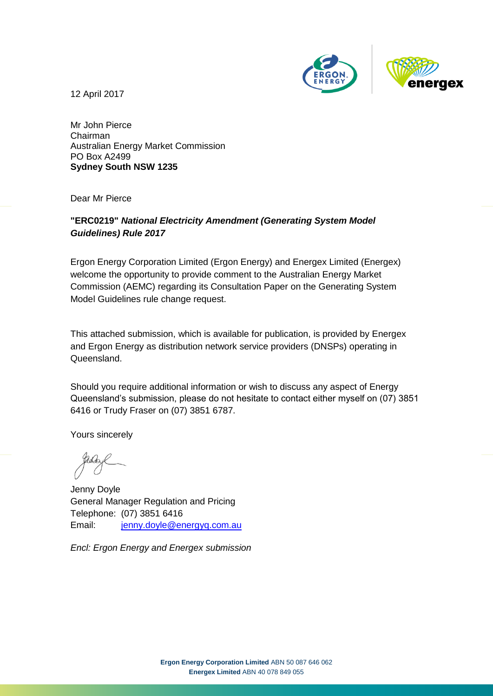

12 April 2017

Mr John Pierce Chairman Australian Energy Market Commission PO Box A2499 **Sydney South NSW 1235**

Dear Mr Pierce

#### **"ERC0219"** *National Electricity Amendment (Generating System Model Guidelines) Rule 2017*

Ergon Energy Corporation Limited (Ergon Energy) and Energex Limited (Energex) welcome the opportunity to provide comment to the Australian Energy Market Commission (AEMC) regarding its Consultation Paper on the Generating System Model Guidelines rule change request.

This attached submission, which is available for publication, is provided by Energex and Ergon Energy as distribution network service providers (DNSPs) operating in Queensland.

Should you require additional information or wish to discuss any aspect of Energy Queensland's submission, please do not hesitate to contact either myself on (07) 3851 6416 or Trudy Fraser on (07) 3851 6787.

Yours sincerely

Jenny Doyle General Manager Regulation and Pricing Telephone: (07) 3851 6416 Email: [jenny.doyle@energyq.com.au](mailto:jenny.doyle@energyq.com.au)

*Encl: Ergon Energy and Energex submission*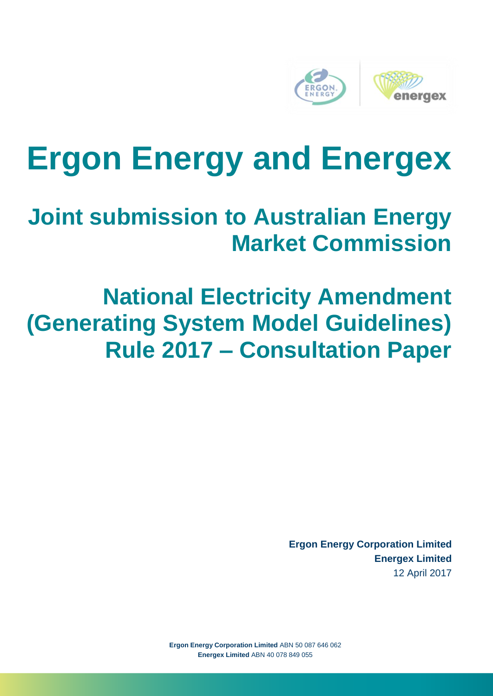

# **Ergon Energy and Energex**

### **Joint submission to Australian Energy Market Commission**

## **National Electricity Amendment (Generating System Model Guidelines) Rule 2017 – Consultation Paper**

**Ergon Energy Corporation Limited Energex Limited** 12 April 2017

**Ergon Energy Corporation Limited** ABN 50 087 646 062 **Energex Limited** ABN 40 078 849 055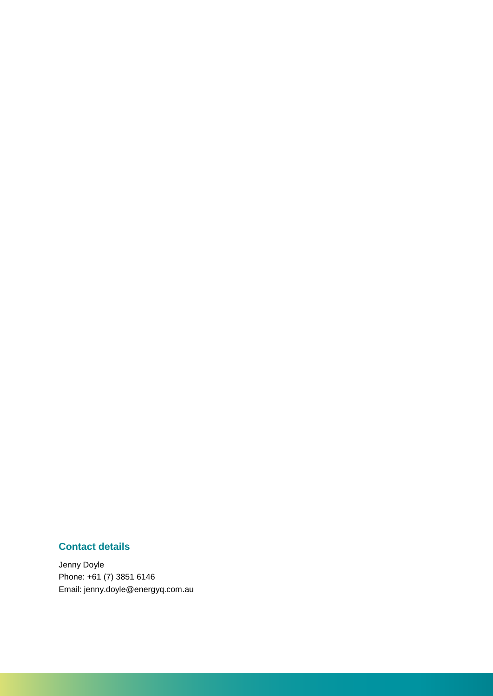#### **Contact details**

Jenny Doyle Phone: +61 (7) 3851 6146 Email: jenny.doyle@energyq.com.au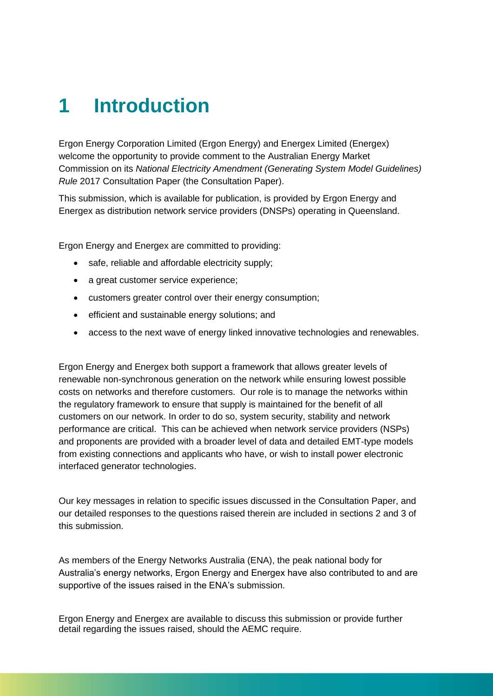### **1 Introduction**

Ergon Energy Corporation Limited (Ergon Energy) and Energex Limited (Energex) welcome the opportunity to provide comment to the Australian Energy Market Commission on its *National Electricity Amendment (Generating System Model Guidelines) Rule* 2017 Consultation Paper (the Consultation Paper).

This submission, which is available for publication, is provided by Ergon Energy and Energex as distribution network service providers (DNSPs) operating in Queensland.

Ergon Energy and Energex are committed to providing:

- safe, reliable and affordable electricity supply;
- a great customer service experience:
- customers greater control over their energy consumption;
- efficient and sustainable energy solutions; and
- access to the next wave of energy linked innovative technologies and renewables.

Ergon Energy and Energex both support a framework that allows greater levels of renewable non-synchronous generation on the network while ensuring lowest possible costs on networks and therefore customers. Our role is to manage the networks within the regulatory framework to ensure that supply is maintained for the benefit of all customers on our network. In order to do so, system security, stability and network performance are critical. This can be achieved when network service providers (NSPs) and proponents are provided with a broader level of data and detailed EMT-type models from existing connections and applicants who have, or wish to install power electronic interfaced generator technologies.

Our key messages in relation to specific issues discussed in the Consultation Paper, and our detailed responses to the questions raised therein are included in sections 2 and 3 of this submission.

As members of the Energy Networks Australia (ENA), the peak national body for Australia's energy networks, Ergon Energy and Energex have also contributed to and are supportive of the issues raised in the ENA's submission.

Ergon Energy and Energex are available to discuss this submission or provide further detail regarding the issues raised, should the AEMC require.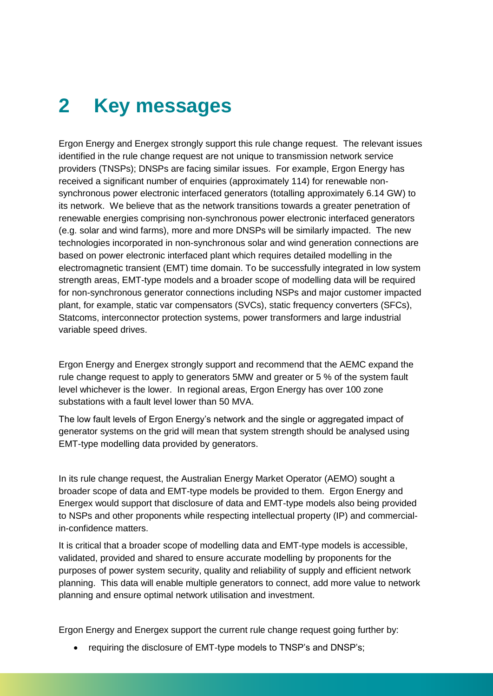### **2 Key messages**

Ergon Energy and Energex strongly support this rule change request. The relevant issues identified in the rule change request are not unique to transmission network service providers (TNSPs); DNSPs are facing similar issues. For example, Ergon Energy has received a significant number of enquiries (approximately 114) for renewable nonsynchronous power electronic interfaced generators (totalling approximately 6.14 GW) to its network. We believe that as the network transitions towards a greater penetration of renewable energies comprising non-synchronous power electronic interfaced generators (e.g. solar and wind farms), more and more DNSPs will be similarly impacted. The new technologies incorporated in non-synchronous solar and wind generation connections are based on power electronic interfaced plant which requires detailed modelling in the electromagnetic transient (EMT) time domain. To be successfully integrated in low system strength areas, EMT-type models and a broader scope of modelling data will be required for non-synchronous generator connections including NSPs and major customer impacted plant, for example, static var compensators (SVCs), static frequency converters (SFCs), Statcoms, interconnector protection systems, power transformers and large industrial variable speed drives.

Ergon Energy and Energex strongly support and recommend that the AEMC expand the rule change request to apply to generators 5MW and greater or 5 % of the system fault level whichever is the lower. In regional areas, Ergon Energy has over 100 zone substations with a fault level lower than 50 MVA.

The low fault levels of Ergon Energy's network and the single or aggregated impact of generator systems on the grid will mean that system strength should be analysed using EMT-type modelling data provided by generators.

In its rule change request, the Australian Energy Market Operator (AEMO) sought a broader scope of data and EMT-type models be provided to them. Ergon Energy and Energex would support that disclosure of data and EMT-type models also being provided to NSPs and other proponents while respecting intellectual property (IP) and commercialin-confidence matters.

It is critical that a broader scope of modelling data and EMT-type models is accessible, validated, provided and shared to ensure accurate modelling by proponents for the purposes of power system security, quality and reliability of supply and efficient network planning. This data will enable multiple generators to connect, add more value to network planning and ensure optimal network utilisation and investment.

Ergon Energy and Energex support the current rule change request going further by:

• requiring the disclosure of EMT-type models to TNSP's and DNSP's;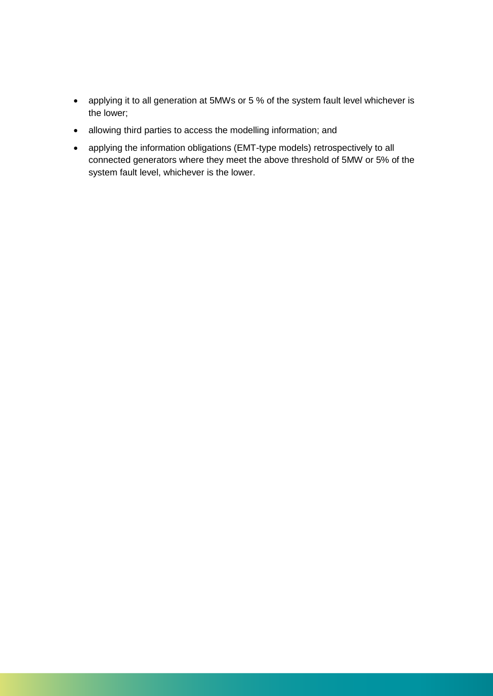- applying it to all generation at 5MWs or 5 % of the system fault level whichever is the lower;
- allowing third parties to access the modelling information; and
- applying the information obligations (EMT-type models) retrospectively to all connected generators where they meet the above threshold of 5MW or 5% of the system fault level, whichever is the lower.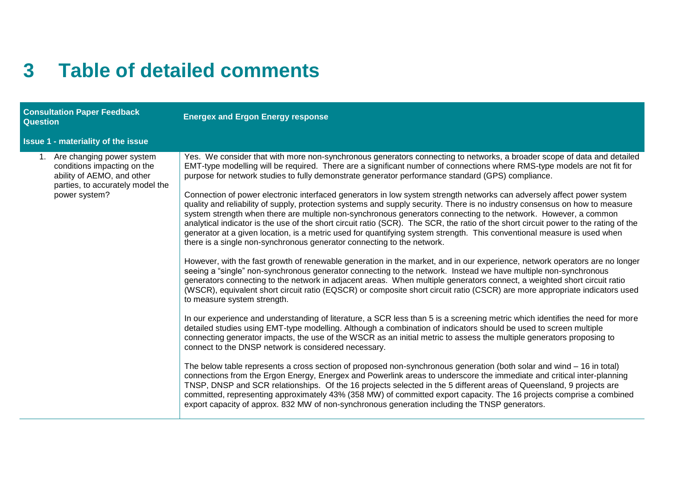#### **3 Table of detailed comments**

| <b>Consultation Paper Feedback</b><br><b>Question</b>                                                                                          | <b>Energex and Ergon Energy response</b>                                                                                                                                                                                                                                                                                                                                                                                                                                                                                                                                                                                                                                                                                                                                                                                                                                                                                                                                                                                                                                                                                                                                                                                                                                                                                                                                                                                                                                                                                                                                                                                                                                                                                                                                                                                                                                                                                                                                                                                                                                                                                                                                                                                                                                                                                                                                                                                                                                                                                                                                |
|------------------------------------------------------------------------------------------------------------------------------------------------|-------------------------------------------------------------------------------------------------------------------------------------------------------------------------------------------------------------------------------------------------------------------------------------------------------------------------------------------------------------------------------------------------------------------------------------------------------------------------------------------------------------------------------------------------------------------------------------------------------------------------------------------------------------------------------------------------------------------------------------------------------------------------------------------------------------------------------------------------------------------------------------------------------------------------------------------------------------------------------------------------------------------------------------------------------------------------------------------------------------------------------------------------------------------------------------------------------------------------------------------------------------------------------------------------------------------------------------------------------------------------------------------------------------------------------------------------------------------------------------------------------------------------------------------------------------------------------------------------------------------------------------------------------------------------------------------------------------------------------------------------------------------------------------------------------------------------------------------------------------------------------------------------------------------------------------------------------------------------------------------------------------------------------------------------------------------------------------------------------------------------------------------------------------------------------------------------------------------------------------------------------------------------------------------------------------------------------------------------------------------------------------------------------------------------------------------------------------------------------------------------------------------------------------------------------------------------|
| <b>Issue 1 - materiality of the issue</b>                                                                                                      |                                                                                                                                                                                                                                                                                                                                                                                                                                                                                                                                                                                                                                                                                                                                                                                                                                                                                                                                                                                                                                                                                                                                                                                                                                                                                                                                                                                                                                                                                                                                                                                                                                                                                                                                                                                                                                                                                                                                                                                                                                                                                                                                                                                                                                                                                                                                                                                                                                                                                                                                                                         |
| 1. Are changing power system<br>conditions impacting on the<br>ability of AEMO, and other<br>parties, to accurately model the<br>power system? | Yes. We consider that with more non-synchronous generators connecting to networks, a broader scope of data and detailed<br>EMT-type modelling will be required. There are a significant number of connections where RMS-type models are not fit for<br>purpose for network studies to fully demonstrate generator performance standard (GPS) compliance.<br>Connection of power electronic interfaced generators in low system strength networks can adversely affect power system<br>quality and reliability of supply, protection systems and supply security. There is no industry consensus on how to measure<br>system strength when there are multiple non-synchronous generators connecting to the network. However, a common<br>analytical indicator is the use of the short circuit ratio (SCR). The SCR, the ratio of the short circuit power to the rating of the<br>generator at a given location, is a metric used for quantifying system strength. This conventional measure is used when<br>there is a single non-synchronous generator connecting to the network.<br>However, with the fast growth of renewable generation in the market, and in our experience, network operators are no longer<br>seeing a "single" non-synchronous generator connecting to the network. Instead we have multiple non-synchronous<br>generators connecting to the network in adjacent areas. When multiple generators connect, a weighted short circuit ratio<br>(WSCR), equivalent short circuit ratio (EQSCR) or composite short circuit ratio (CSCR) are more appropriate indicators used<br>to measure system strength.<br>In our experience and understanding of literature, a SCR less than 5 is a screening metric which identifies the need for more<br>detailed studies using EMT-type modelling. Although a combination of indicators should be used to screen multiple<br>connecting generator impacts, the use of the WSCR as an initial metric to assess the multiple generators proposing to<br>connect to the DNSP network is considered necessary.<br>The below table represents a cross section of proposed non-synchronous generation (both solar and wind – 16 in total)<br>connections from the Ergon Energy, Energex and Powerlink areas to underscore the immediate and critical inter-planning<br>TNSP, DNSP and SCR relationships. Of the 16 projects selected in the 5 different areas of Queensland, 9 projects are<br>committed, representing approximately 43% (358 MW) of committed export capacity. The 16 projects comprise a combined |
|                                                                                                                                                | export capacity of approx. 832 MW of non-synchronous generation including the TNSP generators.                                                                                                                                                                                                                                                                                                                                                                                                                                                                                                                                                                                                                                                                                                                                                                                                                                                                                                                                                                                                                                                                                                                                                                                                                                                                                                                                                                                                                                                                                                                                                                                                                                                                                                                                                                                                                                                                                                                                                                                                                                                                                                                                                                                                                                                                                                                                                                                                                                                                          |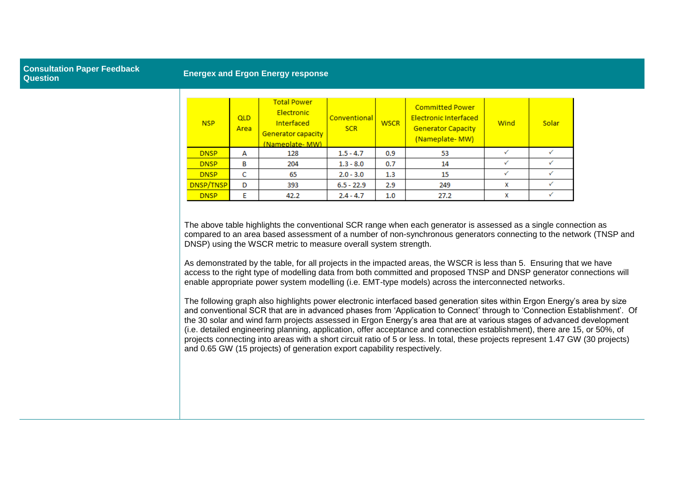#### **Consultation Paper Feedback Question Energex and Ergon Energy response**

| <b>NSP</b>  | <b>QLD</b><br>Area | <b>Total Power</b><br>Electronic<br><b>Interfaced</b><br>Generator capacity<br>(Nameplate- MW) | Conventional<br><b>SCR</b> | <b>WSCR</b> | <b>Committed Power</b><br><b>Electronic Interfaced</b><br><b>Generator Capacity</b><br>(Nameplate-MW) | Wind         | Solar |
|-------------|--------------------|------------------------------------------------------------------------------------------------|----------------------------|-------------|-------------------------------------------------------------------------------------------------------|--------------|-------|
| <b>DNSP</b> | А                  | 128                                                                                            | $1.5 - 4.7$                | 0.9         | 53                                                                                                    | $\checkmark$ |       |
| <b>DNSP</b> | в                  | 204                                                                                            | $1.3 - 8.0$                | 0.7         | 14                                                                                                    |              |       |
| <b>DNSP</b> |                    | 65                                                                                             | $2.0 - 3.0$                | 1.3         | 15                                                                                                    |              |       |
| DNSP/TNSP   | D                  | 393                                                                                            | $6.5 - 22.9$               | 2.9         | 249                                                                                                   | x            |       |
| <b>DNSP</b> | F                  | 42.2                                                                                           | $2.4 - 4.7$                | 1.0         | 27.2                                                                                                  | x            |       |

The above table highlights the conventional SCR range when each generator is assessed as a single connection as compared to an area based assessment of a number of non-synchronous generators connecting to the network (TNSP and DNSP) using the WSCR metric to measure overall system strength.

As demonstrated by the table, for all projects in the impacted areas, the WSCR is less than 5. Ensuring that we have access to the right type of modelling data from both committed and proposed TNSP and DNSP generator connections will enable appropriate power system modelling (i.e. EMT-type models) across the interconnected networks.

The following graph also highlights power electronic interfaced based generation sites within Ergon Energy's area by size and conventional SCR that are in advanced phases from 'Application to Connect' through to 'Connection Establishment'. Of the 30 solar and wind farm projects assessed in Ergon Energy's area that are at various stages of advanced development (i.e. detailed engineering planning, application, offer acceptance and connection establishment), there are 15, or 50%, of projects connecting into areas with a short circuit ratio of 5 or less. In total, these projects represent 1.47 GW (30 projects) and 0.65 GW (15 projects) of generation export capability respectively.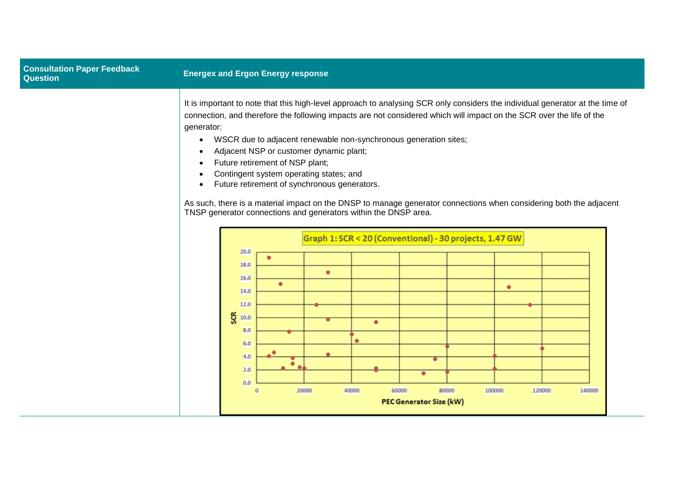| <b>Consultation Paper Feedback</b><br><b>Question</b> |                         |                                                                               | <b>Energex and Ergon Energy response</b>                                                                                                                                                                                                                                                                                                                                                                                                                                                                                                                                                                                                                                                                                                               |  |
|-------------------------------------------------------|-------------------------|-------------------------------------------------------------------------------|--------------------------------------------------------------------------------------------------------------------------------------------------------------------------------------------------------------------------------------------------------------------------------------------------------------------------------------------------------------------------------------------------------------------------------------------------------------------------------------------------------------------------------------------------------------------------------------------------------------------------------------------------------------------------------------------------------------------------------------------------------|--|
|                                                       | generator:<br>$\bullet$ | 20.0<br>18.0                                                                  | It is important to note that this high-level approach to analysing SCR only considers the individual generator at the time of<br>connection, and therefore the following impacts are not considered which will impact on the SCR over the life of the<br>WSCR due to adjacent renewable non-synchronous generation sites;<br>Adjacent NSP or customer dynamic plant;<br>Future retirement of NSP plant;<br>Contingent system operating states; and<br>Future retirement of synchronous generators.<br>As such, there is a material impact on the DNSP to manage generator connections when considering both the adjacent<br>TNSP generator connections and generators within the DNSP area.<br>Graph 1: SCR < 20 (Conventional) - 30 projects, 1.47 GW |  |
|                                                       |                         | 16.0<br>14.0<br>12.0<br><b>SCR</b><br>10.0<br>8.0<br>6.0<br>4.0<br>2.0<br>0.0 | $\bullet$<br>٠<br>٠<br>٠<br>٠<br>٠<br>20000<br>60000<br>80000<br>140000<br>40000<br>100000<br>120000<br>$\bf{0}$<br><b>PEC Generator Size (kW)</b>                                                                                                                                                                                                                                                                                                                                                                                                                                                                                                                                                                                                     |  |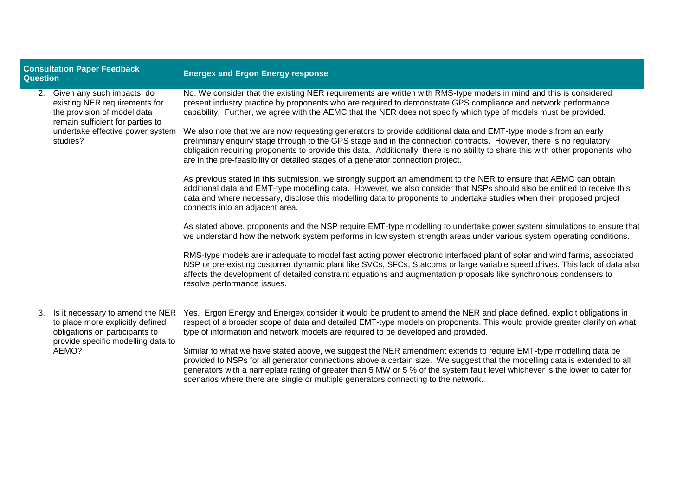| <b>Consultation Paper Feedback</b><br>Question |                                                                                                                                                                                   | <b>Energex and Ergon Energy response</b>                                                                                                                                                                                                                                                                                                                                                                                                                                                                                                                                                                                                                                                                                                                                                                                                                                                                                                                                                                                                                                                                                                                                                                                                                                                                                                                                                                                                                                                                                                                                                                                                                                                                                                                                                                                                                                                                    |  |  |  |
|------------------------------------------------|-----------------------------------------------------------------------------------------------------------------------------------------------------------------------------------|-------------------------------------------------------------------------------------------------------------------------------------------------------------------------------------------------------------------------------------------------------------------------------------------------------------------------------------------------------------------------------------------------------------------------------------------------------------------------------------------------------------------------------------------------------------------------------------------------------------------------------------------------------------------------------------------------------------------------------------------------------------------------------------------------------------------------------------------------------------------------------------------------------------------------------------------------------------------------------------------------------------------------------------------------------------------------------------------------------------------------------------------------------------------------------------------------------------------------------------------------------------------------------------------------------------------------------------------------------------------------------------------------------------------------------------------------------------------------------------------------------------------------------------------------------------------------------------------------------------------------------------------------------------------------------------------------------------------------------------------------------------------------------------------------------------------------------------------------------------------------------------------------------------|--|--|--|
|                                                | 2. Given any such impacts, do<br>existing NER requirements for<br>the provision of model data<br>remain sufficient for parties to<br>undertake effective power system<br>studies? | No. We consider that the existing NER requirements are written with RMS-type models in mind and this is considered<br>present industry practice by proponents who are required to demonstrate GPS compliance and network performance<br>capability. Further, we agree with the AEMC that the NER does not specify which type of models must be provided.<br>We also note that we are now requesting generators to provide additional data and EMT-type models from an early<br>preliminary enquiry stage through to the GPS stage and in the connection contracts. However, there is no regulatory<br>obligation requiring proponents to provide this data. Additionally, there is no ability to share this with other proponents who<br>are in the pre-feasibility or detailed stages of a generator connection project.<br>As previous stated in this submission, we strongly support an amendment to the NER to ensure that AEMO can obtain<br>additional data and EMT-type modelling data. However, we also consider that NSPs should also be entitled to receive this<br>data and where necessary, disclose this modelling data to proponents to undertake studies when their proposed project<br>connects into an adjacent area.<br>As stated above, proponents and the NSP require EMT-type modelling to undertake power system simulations to ensure that<br>we understand how the network system performs in low system strength areas under various system operating conditions.<br>RMS-type models are inadequate to model fast acting power electronic interfaced plant of solar and wind farms, associated<br>NSP or pre-existing customer dynamic plant like SVCs, SFCs, Statcoms or large variable speed drives. This lack of data also<br>affects the development of detailed constraint equations and augmentation proposals like synchronous condensers to<br>resolve performance issues. |  |  |  |
|                                                | 3. Is it necessary to amend the NER<br>to place more explicitly defined<br>obligations on participants to<br>provide specific modelling data to<br>AEMO?                          | Yes. Ergon Energy and Energex consider it would be prudent to amend the NER and place defined, explicit obligations in<br>respect of a broader scope of data and detailed EMT-type models on proponents. This would provide greater clarify on what<br>type of information and network models are required to be developed and provided.<br>Similar to what we have stated above, we suggest the NER amendment extends to require EMT-type modelling data be<br>provided to NSPs for all generator connections above a certain size. We suggest that the modelling data is extended to all<br>generators with a nameplate rating of greater than 5 MW or 5 % of the system fault level whichever is the lower to cater for<br>scenarios where there are single or multiple generators connecting to the network.                                                                                                                                                                                                                                                                                                                                                                                                                                                                                                                                                                                                                                                                                                                                                                                                                                                                                                                                                                                                                                                                                            |  |  |  |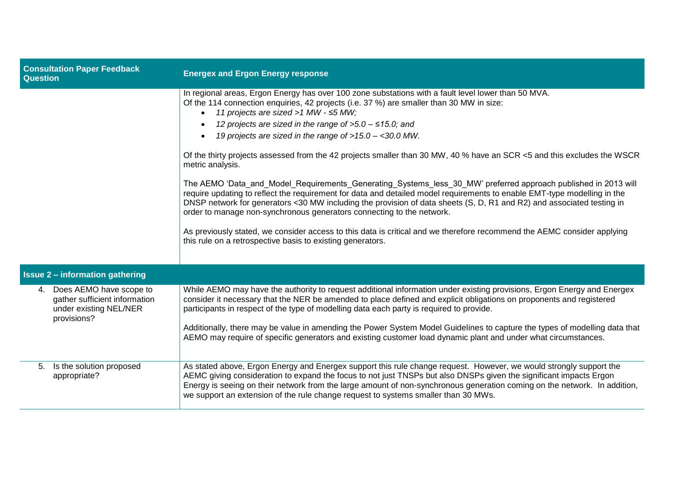| <b>Consultation Paper Feedback</b><br><b>Question</b>                                                | <b>Energex and Ergon Energy response</b>                                                                                                                                                                                                                                                                                                                                                                                                                                                                                                                                                                                                                                                                                                                                                                                                                                                                                                                                                                                                                                                                                                                |
|------------------------------------------------------------------------------------------------------|---------------------------------------------------------------------------------------------------------------------------------------------------------------------------------------------------------------------------------------------------------------------------------------------------------------------------------------------------------------------------------------------------------------------------------------------------------------------------------------------------------------------------------------------------------------------------------------------------------------------------------------------------------------------------------------------------------------------------------------------------------------------------------------------------------------------------------------------------------------------------------------------------------------------------------------------------------------------------------------------------------------------------------------------------------------------------------------------------------------------------------------------------------|
|                                                                                                      | In regional areas, Ergon Energy has over 100 zone substations with a fault level lower than 50 MVA.<br>Of the 114 connection enquiries, 42 projects (i.e. 37 %) are smaller than 30 MW in size:<br>11 projects are sized >1 MW - ≤5 MW;<br>12 projects are sized in the range of $>5.0 - 15.0$ ; and<br>19 projects are sized in the range of >15.0 - <30.0 MW.<br>Of the thirty projects assessed from the 42 projects smaller than 30 MW, 40 % have an SCR <5 and this excludes the WSCR<br>metric analysis.<br>The AEMO 'Data_and_Model_Requirements_Generating_Systems_less_30_MW' preferred approach published in 2013 will<br>require updating to reflect the requirement for data and detailed model requirements to enable EMT-type modelling in the<br>DNSP network for generators <30 MW including the provision of data sheets (S, D, R1 and R2) and associated testing in<br>order to manage non-synchronous generators connecting to the network.<br>As previously stated, we consider access to this data is critical and we therefore recommend the AEMC consider applying<br>this rule on a retrospective basis to existing generators. |
| <b>Issue 2 - information gathering</b>                                                               |                                                                                                                                                                                                                                                                                                                                                                                                                                                                                                                                                                                                                                                                                                                                                                                                                                                                                                                                                                                                                                                                                                                                                         |
| 4. Does AEMO have scope to<br>gather sufficient information<br>under existing NEL/NER<br>provisions? | While AEMO may have the authority to request additional information under existing provisions, Ergon Energy and Energex<br>consider it necessary that the NER be amended to place defined and explicit obligations on proponents and registered<br>participants in respect of the type of modelling data each party is required to provide.<br>Additionally, there may be value in amending the Power System Model Guidelines to capture the types of modelling data that<br>AEMO may require of specific generators and existing customer load dynamic plant and under what circumstances.                                                                                                                                                                                                                                                                                                                                                                                                                                                                                                                                                             |
| Is the solution proposed<br>5.<br>appropriate?                                                       | As stated above, Ergon Energy and Energex support this rule change request. However, we would strongly support the<br>AEMC giving consideration to expand the focus to not just TNSPs but also DNSPs given the significant impacts Ergon<br>Energy is seeing on their network from the large amount of non-synchronous generation coming on the network. In addition,<br>we support an extension of the rule change request to systems smaller than 30 MWs.                                                                                                                                                                                                                                                                                                                                                                                                                                                                                                                                                                                                                                                                                             |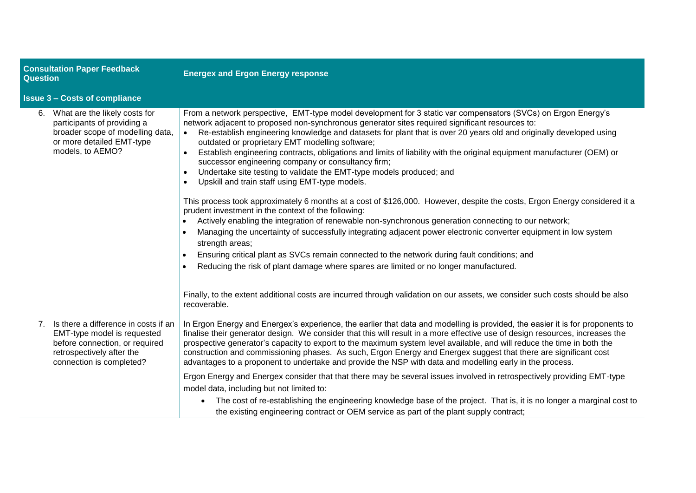| <b>Consultation Paper Feedback</b><br><b>Question</b>                                                                                                |                                                                                                                                                                | <b>Energex and Ergon Energy response</b>                                                                                                                                                                                                                                                                                                                                                                                                                                                                                                                                                                                                                                                                                                                                                                                                                                                                                                                                                                                                                                                                                                                                                                                                                                                                                                                                                                                                                                                                                         |  |  |  |
|------------------------------------------------------------------------------------------------------------------------------------------------------|----------------------------------------------------------------------------------------------------------------------------------------------------------------|----------------------------------------------------------------------------------------------------------------------------------------------------------------------------------------------------------------------------------------------------------------------------------------------------------------------------------------------------------------------------------------------------------------------------------------------------------------------------------------------------------------------------------------------------------------------------------------------------------------------------------------------------------------------------------------------------------------------------------------------------------------------------------------------------------------------------------------------------------------------------------------------------------------------------------------------------------------------------------------------------------------------------------------------------------------------------------------------------------------------------------------------------------------------------------------------------------------------------------------------------------------------------------------------------------------------------------------------------------------------------------------------------------------------------------------------------------------------------------------------------------------------------------|--|--|--|
|                                                                                                                                                      | <b>Issue 3 - Costs of compliance</b>                                                                                                                           |                                                                                                                                                                                                                                                                                                                                                                                                                                                                                                                                                                                                                                                                                                                                                                                                                                                                                                                                                                                                                                                                                                                                                                                                                                                                                                                                                                                                                                                                                                                                  |  |  |  |
| 6. What are the likely costs for<br>participants of providing a<br>broader scope of modelling data,<br>or more detailed EMT-type<br>models, to AEMO? |                                                                                                                                                                | From a network perspective, EMT-type model development for 3 static var compensators (SVCs) on Ergon Energy's<br>network adjacent to proposed non-synchronous generator sites required significant resources to:<br>Re-establish engineering knowledge and datasets for plant that is over 20 years old and originally developed using<br>$\bullet$<br>outdated or proprietary EMT modelling software;<br>Establish engineering contracts, obligations and limits of liability with the original equipment manufacturer (OEM) or<br>successor engineering company or consultancy firm;<br>Undertake site testing to validate the EMT-type models produced; and<br>$\bullet$<br>Upskill and train staff using EMT-type models.<br>$\bullet$<br>This process took approximately 6 months at a cost of \$126,000. However, despite the costs, Ergon Energy considered it a<br>prudent investment in the context of the following:<br>Actively enabling the integration of renewable non-synchronous generation connecting to our network;<br>Managing the uncertainty of successfully integrating adjacent power electronic converter equipment in low system<br>$\bullet$<br>strength areas;<br>Ensuring critical plant as SVCs remain connected to the network during fault conditions; and<br>Reducing the risk of plant damage where spares are limited or no longer manufactured.<br>$\bullet$<br>Finally, to the extent additional costs are incurred through validation on our assets, we consider such costs should be also |  |  |  |
|                                                                                                                                                      |                                                                                                                                                                | recoverable.                                                                                                                                                                                                                                                                                                                                                                                                                                                                                                                                                                                                                                                                                                                                                                                                                                                                                                                                                                                                                                                                                                                                                                                                                                                                                                                                                                                                                                                                                                                     |  |  |  |
| 7 <sup>1</sup>                                                                                                                                       | Is there a difference in costs if an<br>EMT-type model is requested<br>before connection, or required<br>retrospectively after the<br>connection is completed? | In Ergon Energy and Energex's experience, the earlier that data and modelling is provided, the easier it is for proponents to<br>finalise their generator design. We consider that this will result in a more effective use of design resources, increases the<br>prospective generator's capacity to export to the maximum system level available, and will reduce the time in both the<br>construction and commissioning phases. As such, Ergon Energy and Energex suggest that there are significant cost<br>advantages to a proponent to undertake and provide the NSP with data and modelling early in the process.                                                                                                                                                                                                                                                                                                                                                                                                                                                                                                                                                                                                                                                                                                                                                                                                                                                                                                         |  |  |  |
|                                                                                                                                                      |                                                                                                                                                                | Ergon Energy and Energex consider that that there may be several issues involved in retrospectively providing EMT-type<br>model data, including but not limited to:                                                                                                                                                                                                                                                                                                                                                                                                                                                                                                                                                                                                                                                                                                                                                                                                                                                                                                                                                                                                                                                                                                                                                                                                                                                                                                                                                              |  |  |  |
|                                                                                                                                                      |                                                                                                                                                                | The cost of re-establishing the engineering knowledge base of the project. That is, it is no longer a marginal cost to<br>the existing engineering contract or OEM service as part of the plant supply contract;                                                                                                                                                                                                                                                                                                                                                                                                                                                                                                                                                                                                                                                                                                                                                                                                                                                                                                                                                                                                                                                                                                                                                                                                                                                                                                                 |  |  |  |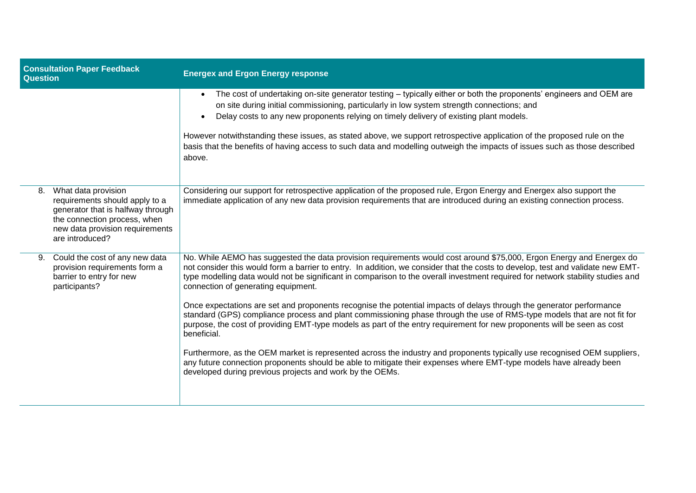| <b>Consultation Paper Feedback</b><br><b>Question</b>                                                                                                                                  | <b>Energex and Ergon Energy response</b>                                                                                                                                                                                                                                                                                                                                                                                          |
|----------------------------------------------------------------------------------------------------------------------------------------------------------------------------------------|-----------------------------------------------------------------------------------------------------------------------------------------------------------------------------------------------------------------------------------------------------------------------------------------------------------------------------------------------------------------------------------------------------------------------------------|
|                                                                                                                                                                                        | The cost of undertaking on-site generator testing – typically either or both the proponents' engineers and OEM are<br>on site during initial commissioning, particularly in low system strength connections; and<br>Delay costs to any new proponents relying on timely delivery of existing plant models.<br>$\bullet$                                                                                                           |
|                                                                                                                                                                                        | However notwithstanding these issues, as stated above, we support retrospective application of the proposed rule on the<br>basis that the benefits of having access to such data and modelling outweigh the impacts of issues such as those described<br>above.                                                                                                                                                                   |
| What data provision<br>8.<br>requirements should apply to a<br>generator that is halfway through<br>the connection process, when<br>new data provision requirements<br>are introduced? | Considering our support for retrospective application of the proposed rule, Ergon Energy and Energex also support the<br>immediate application of any new data provision requirements that are introduced during an existing connection process.                                                                                                                                                                                  |
| Could the cost of any new data<br>9.<br>provision requirements form a<br>barrier to entry for new<br>participants?                                                                     | No. While AEMO has suggested the data provision requirements would cost around \$75,000, Ergon Energy and Energex do<br>not consider this would form a barrier to entry. In addition, we consider that the costs to develop, test and validate new EMT-<br>type modelling data would not be significant in comparison to the overall investment required for network stability studies and<br>connection of generating equipment. |
|                                                                                                                                                                                        | Once expectations are set and proponents recognise the potential impacts of delays through the generator performance<br>standard (GPS) compliance process and plant commissioning phase through the use of RMS-type models that are not fit for<br>purpose, the cost of providing EMT-type models as part of the entry requirement for new proponents will be seen as cost<br>beneficial.                                         |
|                                                                                                                                                                                        | Furthermore, as the OEM market is represented across the industry and proponents typically use recognised OEM suppliers,<br>any future connection proponents should be able to mitigate their expenses where EMT-type models have already been<br>developed during previous projects and work by the OEMs.                                                                                                                        |
|                                                                                                                                                                                        |                                                                                                                                                                                                                                                                                                                                                                                                                                   |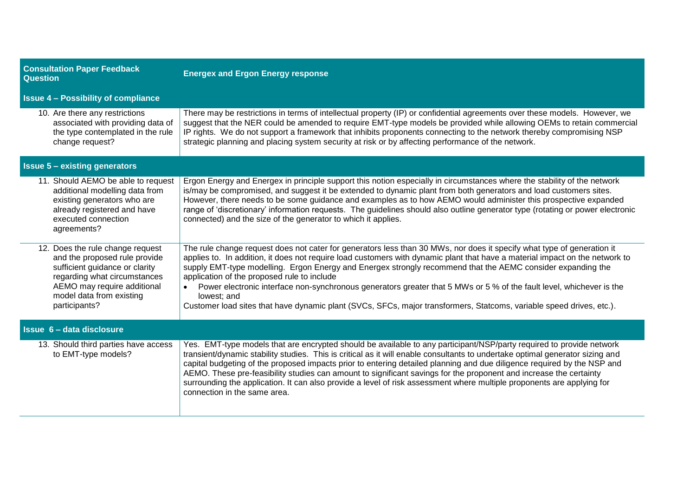| <b>Consultation Paper Feedback</b><br><b>Question</b>                                                                                                                                                           | <b>Energex and Ergon Energy response</b>                                                                                                                                                                                                                                                                                                                                                                                                                                                                                                                                                                                                                                                         |  |
|-----------------------------------------------------------------------------------------------------------------------------------------------------------------------------------------------------------------|--------------------------------------------------------------------------------------------------------------------------------------------------------------------------------------------------------------------------------------------------------------------------------------------------------------------------------------------------------------------------------------------------------------------------------------------------------------------------------------------------------------------------------------------------------------------------------------------------------------------------------------------------------------------------------------------------|--|
| <b>Issue 4 - Possibility of compliance</b>                                                                                                                                                                      |                                                                                                                                                                                                                                                                                                                                                                                                                                                                                                                                                                                                                                                                                                  |  |
| 10. Are there any restrictions<br>associated with providing data of<br>the type contemplated in the rule<br>change request?                                                                                     | There may be restrictions in terms of intellectual property (IP) or confidential agreements over these models. However, we<br>suggest that the NER could be amended to require EMT-type models be provided while allowing OEMs to retain commercial<br>IP rights. We do not support a framework that inhibits proponents connecting to the network thereby compromising NSP<br>strategic planning and placing system security at risk or by affecting performance of the network.                                                                                                                                                                                                                |  |
| <b>Issue 5 - existing generators</b>                                                                                                                                                                            |                                                                                                                                                                                                                                                                                                                                                                                                                                                                                                                                                                                                                                                                                                  |  |
| 11. Should AEMO be able to request<br>additional modelling data from<br>existing generators who are<br>already registered and have<br>executed connection<br>agreements?                                        | Ergon Energy and Energex in principle support this notion especially in circumstances where the stability of the network<br>is/may be compromised, and suggest it be extended to dynamic plant from both generators and load customers sites.<br>However, there needs to be some guidance and examples as to how AEMO would administer this prospective expanded<br>range of 'discretionary' information requests. The guidelines should also outline generator type (rotating or power electronic<br>connected) and the size of the generator to which it applies.                                                                                                                              |  |
| 12. Does the rule change request<br>and the proposed rule provide<br>sufficient guidance or clarity<br>regarding what circumstances<br>AEMO may require additional<br>model data from existing<br>participants? | The rule change request does not cater for generators less than 30 MWs, nor does it specify what type of generation it<br>applies to. In addition, it does not require load customers with dynamic plant that have a material impact on the network to<br>supply EMT-type modelling. Ergon Energy and Energex strongly recommend that the AEMC consider expanding the<br>application of the proposed rule to include<br>Power electronic interface non-synchronous generators greater that 5 MWs or 5 % of the fault level, whichever is the<br>$\bullet$<br>lowest; and<br>Customer load sites that have dynamic plant (SVCs, SFCs, major transformers, Statcoms, variable speed drives, etc.). |  |
| Issue 6 - data disclosure                                                                                                                                                                                       |                                                                                                                                                                                                                                                                                                                                                                                                                                                                                                                                                                                                                                                                                                  |  |
| 13. Should third parties have access<br>to EMT-type models?                                                                                                                                                     | Yes. EMT-type models that are encrypted should be available to any participant/NSP/party required to provide network<br>transient/dynamic stability studies. This is critical as it will enable consultants to undertake optimal generator sizing and<br>capital budgeting of the proposed impacts prior to entering detailed planning and due diligence required by the NSP and<br>AEMO. These pre-feasibility studies can amount to significant savings for the proponent and increase the certainty<br>surrounding the application. It can also provide a level of risk assessment where multiple proponents are applying for<br>connection in the same area.                                 |  |